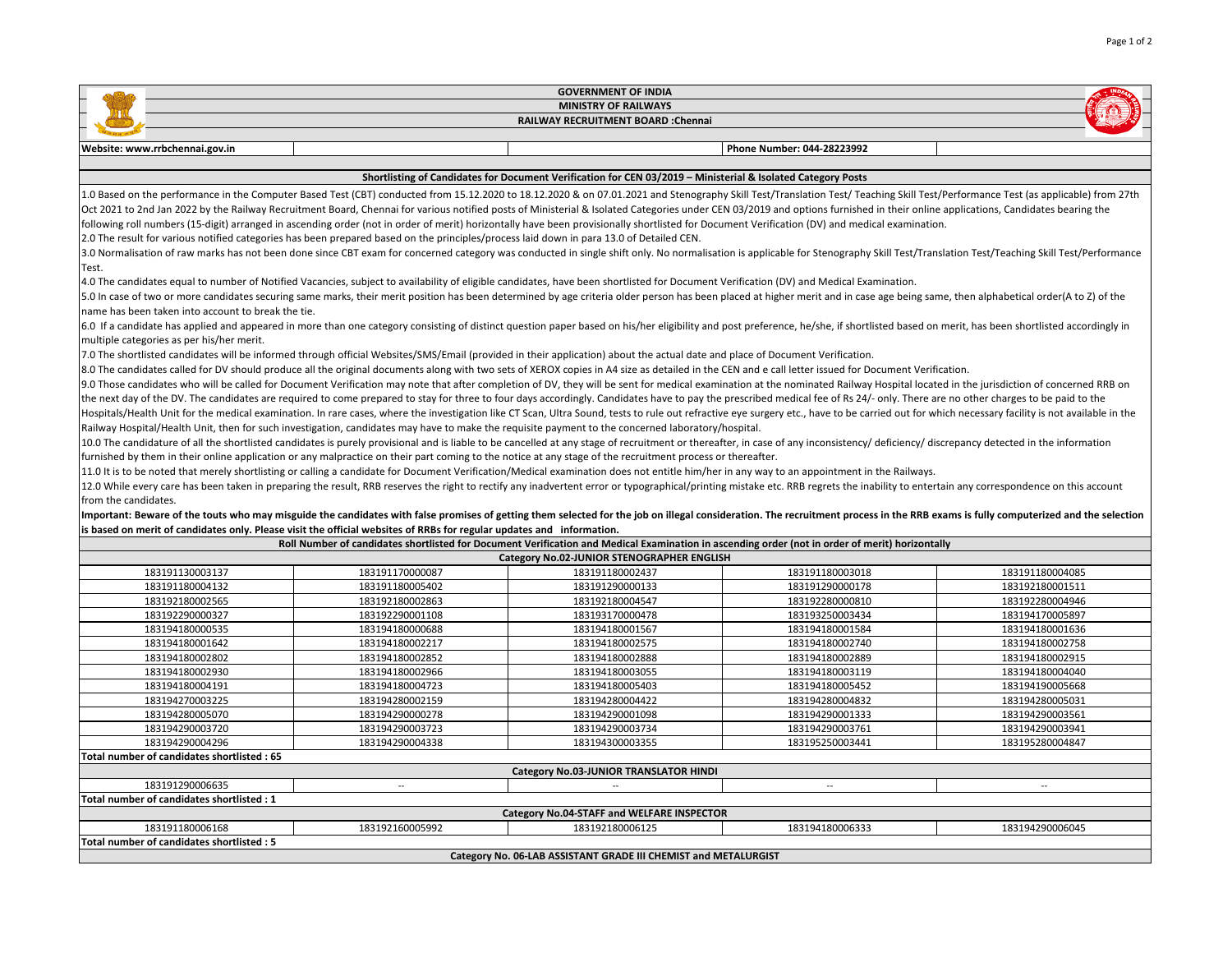| <b>GOVERNMENT OF INDIA</b>                                                                                                                                                                                                                                                                                                                                                 |                                                                                                                                                            |                                            |                                                                                                                                                                                                                                |                 |  |  |  |
|----------------------------------------------------------------------------------------------------------------------------------------------------------------------------------------------------------------------------------------------------------------------------------------------------------------------------------------------------------------------------|------------------------------------------------------------------------------------------------------------------------------------------------------------|--------------------------------------------|--------------------------------------------------------------------------------------------------------------------------------------------------------------------------------------------------------------------------------|-----------------|--|--|--|
| <b>MINISTRY OF RAILWAYS</b>                                                                                                                                                                                                                                                                                                                                                |                                                                                                                                                            |                                            |                                                                                                                                                                                                                                |                 |  |  |  |
| RAILWAY RECRUITMENT BOARD : Chennai                                                                                                                                                                                                                                                                                                                                        |                                                                                                                                                            |                                            |                                                                                                                                                                                                                                |                 |  |  |  |
| Website: www.rrbchennai.gov.in                                                                                                                                                                                                                                                                                                                                             |                                                                                                                                                            |                                            | Phone Number: 044-28223992                                                                                                                                                                                                     |                 |  |  |  |
|                                                                                                                                                                                                                                                                                                                                                                            |                                                                                                                                                            |                                            |                                                                                                                                                                                                                                |                 |  |  |  |
| Shortlisting of Candidates for Document Verification for CEN 03/2019 - Ministerial & Isolated Category Posts                                                                                                                                                                                                                                                               |                                                                                                                                                            |                                            |                                                                                                                                                                                                                                |                 |  |  |  |
| 1.0 Based on the performance in the Computer Based Test (CBT) conducted from 15.12.2020 to 18.12.2020 & on 07.01.2021 and Stenography Skill Test/Translation Test/Teaching Skill Test/Performance Test (as applicable) from 27                                                                                                                                             |                                                                                                                                                            |                                            |                                                                                                                                                                                                                                |                 |  |  |  |
| Oct 2021 to 2nd Jan 2022 by the Railway Recruitment Board, Chennai for various notified posts of Ministerial & Isolated Categories under CEN 03/2019 and options furnished in their online applications, Candidates bearing th                                                                                                                                             |                                                                                                                                                            |                                            |                                                                                                                                                                                                                                |                 |  |  |  |
| following roll numbers (15-digit) arranged in ascending order (not in order of merit) horizontally have been provisionally shortlisted for Document Verification (DV) and medical examination.                                                                                                                                                                             |                                                                                                                                                            |                                            |                                                                                                                                                                                                                                |                 |  |  |  |
| 2.0 The result for various notified categories has been prepared based on the principles/process laid down in para 13.0 of Detailed CEN.<br>3.0 Normalisation of raw marks has not been done since CBT exam for concerned category was conducted in single shift only. No normalisation is applicable for Stenography Skill Test/Translation Test/Teaching Skill Test/Perf |                                                                                                                                                            |                                            |                                                                                                                                                                                                                                |                 |  |  |  |
| Test.                                                                                                                                                                                                                                                                                                                                                                      |                                                                                                                                                            |                                            |                                                                                                                                                                                                                                |                 |  |  |  |
| 4.0 The candidates equal to number of Notified Vacancies, subject to availability of eligible candidates, have been shortlisted for Document Verification (DV) and Medical Examination.                                                                                                                                                                                    |                                                                                                                                                            |                                            |                                                                                                                                                                                                                                |                 |  |  |  |
| 5.0 In case of two or more candidates securing same marks, their merit position has been determined by age criteria older person has been placed at higher merit and in case age being same, then alphabetical order(A to Z) o                                                                                                                                             |                                                                                                                                                            |                                            |                                                                                                                                                                                                                                |                 |  |  |  |
| name has been taken into account to break the tie.                                                                                                                                                                                                                                                                                                                         |                                                                                                                                                            |                                            |                                                                                                                                                                                                                                |                 |  |  |  |
| 6.0 If a candidate has applied and appeared in more than one category consisting of distinct question paper based on his/her eligibility and post preference, he/she, if shortlisted based on merit, has been shortlisted acco                                                                                                                                             |                                                                                                                                                            |                                            |                                                                                                                                                                                                                                |                 |  |  |  |
| multiple categories as per his/her merit.                                                                                                                                                                                                                                                                                                                                  |                                                                                                                                                            |                                            |                                                                                                                                                                                                                                |                 |  |  |  |
| 7.0 The shortlisted candidates will be informed through official Websites/SMS/Email (provided in their application) about the actual date and place of Document Verification.                                                                                                                                                                                              |                                                                                                                                                            |                                            |                                                                                                                                                                                                                                |                 |  |  |  |
| 8.0 The candidates called for DV should produce all the original documents along with two sets of XEROX copies in A4 size as detailed in the CEN and e call letter issued for Document Verification.                                                                                                                                                                       |                                                                                                                                                            |                                            |                                                                                                                                                                                                                                |                 |  |  |  |
|                                                                                                                                                                                                                                                                                                                                                                            |                                                                                                                                                            |                                            | 9.0 Those candidates who will be called for Document Verification may note that after completion of DV, they will be sent for medical examination at the nominated Railway Hospital located in the jurisdiction of concerned R |                 |  |  |  |
| the next day of the DV. The candidates are required to come prepared to stay for three to four days accordingly. Candidates have to pay the prescribed medical fee of Rs 24/- only. There are no other charges to be paid to t                                                                                                                                             |                                                                                                                                                            |                                            |                                                                                                                                                                                                                                |                 |  |  |  |
| Hospitals/Health Unit for the medical examination. In rare cases, where the investigation like CT Scan, Ultra Sound, tests to rule out refractive eye surgery etc., have to be carried out for which necessary facility is not                                                                                                                                             |                                                                                                                                                            |                                            |                                                                                                                                                                                                                                |                 |  |  |  |
| Railway Hospital/Health Unit, then for such investigation, candidates may have to make the requisite payment to the concerned laboratory/hospital.                                                                                                                                                                                                                         |                                                                                                                                                            |                                            |                                                                                                                                                                                                                                |                 |  |  |  |
| 10.0 The candidature of all the shortlisted candidates is purely provisional and is liable to be cancelled at any stage of recruitment or thereafter, in case of any inconsistency/ deficiency/ discrepancy detected in the in                                                                                                                                             |                                                                                                                                                            |                                            |                                                                                                                                                                                                                                |                 |  |  |  |
|                                                                                                                                                                                                                                                                                                                                                                            | furnished by them in their online application or any malpractice on their part coming to the notice at any stage of the recruitment process or thereafter. |                                            |                                                                                                                                                                                                                                |                 |  |  |  |
| 11.0 It is to be noted that merely shortlisting or calling a candidate for Document Verification/Medical examination does not entitle him/her in any way to an appointment in the Railways.                                                                                                                                                                                |                                                                                                                                                            |                                            |                                                                                                                                                                                                                                |                 |  |  |  |
| 12.0 While every care has been taken in preparing the result, RRB reserves the right to rectify any inadvertent error or typographical/printing mistake etc. RRB regrets the inability to entertain any correspondence on this                                                                                                                                             |                                                                                                                                                            |                                            |                                                                                                                                                                                                                                |                 |  |  |  |
| Ifrom the candidates.                                                                                                                                                                                                                                                                                                                                                      |                                                                                                                                                            |                                            |                                                                                                                                                                                                                                |                 |  |  |  |
|                                                                                                                                                                                                                                                                                                                                                                            |                                                                                                                                                            |                                            | Important: Beware of the touts who may misguide the candidates with false promises of getting them selected for the job on illegal consideration. The recruitment process in the RRB exams is fully computerized and the selec |                 |  |  |  |
|                                                                                                                                                                                                                                                                                                                                                                            | is based on merit of candidates only. Please visit the official websites of RRBs for regular updates and information.                                      |                                            |                                                                                                                                                                                                                                |                 |  |  |  |
|                                                                                                                                                                                                                                                                                                                                                                            |                                                                                                                                                            | Category No.02-JUNIOR STENOGRAPHER ENGLISH | Roll Number of candidates shortlisted for Document Verification and Medical Examination in ascending order (not in order of merit) horizontally                                                                                |                 |  |  |  |
| 183191130003137                                                                                                                                                                                                                                                                                                                                                            | 183191170000087                                                                                                                                            | 183191180002437                            | 183191180003018                                                                                                                                                                                                                | 183191180004085 |  |  |  |
| 183191180004132                                                                                                                                                                                                                                                                                                                                                            | 183191180005402                                                                                                                                            | 183191290000133                            | 183191290000178                                                                                                                                                                                                                | 183192180001511 |  |  |  |
| 183192180002565                                                                                                                                                                                                                                                                                                                                                            | 183192180002863                                                                                                                                            | 183192180004547                            | 183192280000810                                                                                                                                                                                                                | 183192280004946 |  |  |  |
| 183192290000327                                                                                                                                                                                                                                                                                                                                                            | 183192290001108                                                                                                                                            | 183193170000478                            | 183193250003434                                                                                                                                                                                                                | 183194170005897 |  |  |  |
| 183194180000535                                                                                                                                                                                                                                                                                                                                                            | 183194180000688                                                                                                                                            | 183194180001567                            | 183194180001584                                                                                                                                                                                                                | 183194180001636 |  |  |  |
| 183194180001642                                                                                                                                                                                                                                                                                                                                                            | 183194180002217                                                                                                                                            | 183194180002575                            | 183194180002740                                                                                                                                                                                                                | 183194180002758 |  |  |  |
| 183194180002802                                                                                                                                                                                                                                                                                                                                                            | 183194180002852                                                                                                                                            | 183194180002888                            | 183194180002889                                                                                                                                                                                                                | 183194180002915 |  |  |  |
| 183194180002930                                                                                                                                                                                                                                                                                                                                                            | 183194180002966                                                                                                                                            | 183194180003055                            | 183194180003119                                                                                                                                                                                                                | 183194180004040 |  |  |  |
| 183194180004191                                                                                                                                                                                                                                                                                                                                                            | 183194180004723                                                                                                                                            | 183194180005403                            | 183194180005452                                                                                                                                                                                                                | 183194190005668 |  |  |  |
| 183194270003225                                                                                                                                                                                                                                                                                                                                                            | 183194280002159                                                                                                                                            | 183194280004422                            | 183194280004832                                                                                                                                                                                                                | 183194280005031 |  |  |  |
| 183194280005070                                                                                                                                                                                                                                                                                                                                                            | 183194290000278                                                                                                                                            | 183194290001098                            | 183194290001333                                                                                                                                                                                                                | 183194290003561 |  |  |  |
| 183194290003720                                                                                                                                                                                                                                                                                                                                                            | 183194290003723                                                                                                                                            | 183194290003734                            | 183194290003761                                                                                                                                                                                                                | 183194290003941 |  |  |  |
| 183194290004296                                                                                                                                                                                                                                                                                                                                                            | 183194290004338                                                                                                                                            | 183194300003355                            | 183195250003441                                                                                                                                                                                                                | 183195280004847 |  |  |  |
| Total number of candidates shortlisted : 65<br>Category No.03-JUNIOR TRANSLATOR HINDI                                                                                                                                                                                                                                                                                      |                                                                                                                                                            |                                            |                                                                                                                                                                                                                                |                 |  |  |  |
| 183191290006635<br>$\overline{\phantom{a}}$<br>$\overline{\phantom{a}}$<br>$\sim$<br>$\mathbb{Z}^{\mathbb{Z}}$                                                                                                                                                                                                                                                             |                                                                                                                                                            |                                            |                                                                                                                                                                                                                                |                 |  |  |  |
| Total number of candidates shortlisted: 1                                                                                                                                                                                                                                                                                                                                  |                                                                                                                                                            |                                            |                                                                                                                                                                                                                                |                 |  |  |  |
| Category No.04-STAFF and WELFARE INSPECTOR                                                                                                                                                                                                                                                                                                                                 |                                                                                                                                                            |                                            |                                                                                                                                                                                                                                |                 |  |  |  |
| 183191180006168                                                                                                                                                                                                                                                                                                                                                            | 183192160005992                                                                                                                                            | 183192180006125                            | 183194180006333                                                                                                                                                                                                                | 183194290006045 |  |  |  |
| Total number of candidates shortlisted : 5                                                                                                                                                                                                                                                                                                                                 |                                                                                                                                                            |                                            |                                                                                                                                                                                                                                |                 |  |  |  |
| Category No. 06-LAB ASSISTANT GRADE III CHEMIST and METALURGIST                                                                                                                                                                                                                                                                                                            |                                                                                                                                                            |                                            |                                                                                                                                                                                                                                |                 |  |  |  |